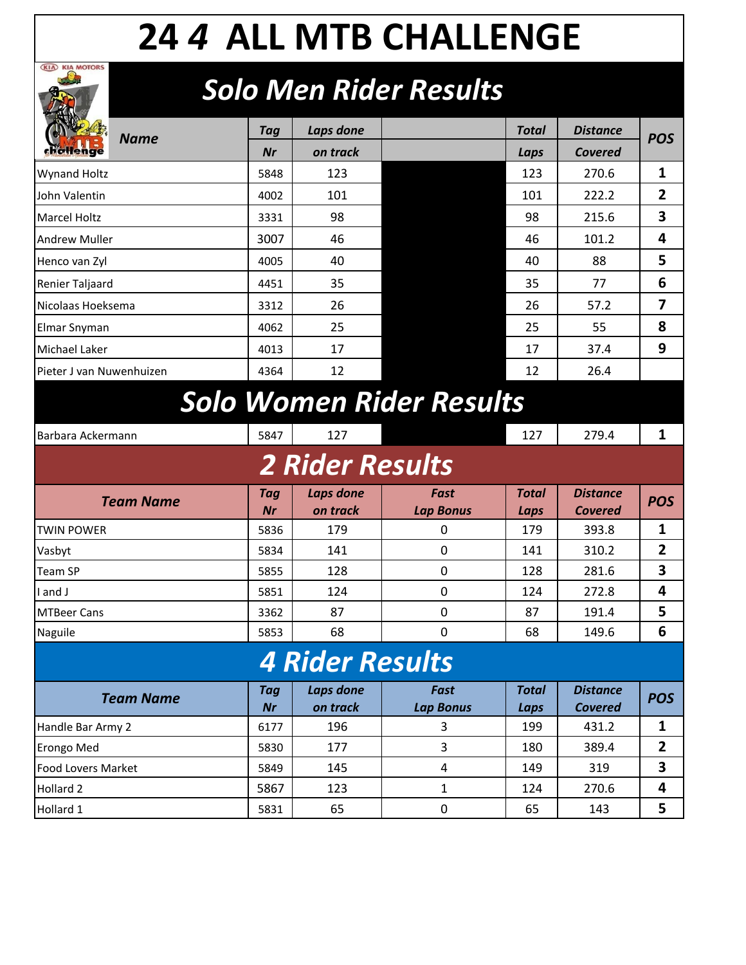## **24** *4* **ALL MTB CHALLENGE**

## *Solo Men Rider Results*

| <b>Name</b>                     | <b>Tag</b>              | Laps done             |                                 | Total                | <b>Distance</b>                   | <b>POS</b>              |  |  |  |  |
|---------------------------------|-------------------------|-----------------------|---------------------------------|----------------------|-----------------------------------|-------------------------|--|--|--|--|
| chollenge                       | <b>Nr</b>               | on track              |                                 | Laps                 | <b>Covered</b>                    |                         |  |  |  |  |
| <b>Wynand Holtz</b>             | 5848                    | 123                   |                                 | 123                  | 270.6                             | 1                       |  |  |  |  |
| John Valentin                   | 4002                    | 101                   |                                 | 101                  | 222.2                             | $\overline{2}$          |  |  |  |  |
| <b>Marcel Holtz</b>             | 3331                    | 98                    |                                 | 98                   | 215.6                             | 3                       |  |  |  |  |
| <b>Andrew Muller</b>            | 3007                    | 46                    |                                 | 46                   | 101.2                             | 4                       |  |  |  |  |
| Henco van Zyl                   | 4005                    | 40                    |                                 | 40                   | 88                                | 5                       |  |  |  |  |
| Renier Taljaard                 | 4451                    | 35                    |                                 | 35                   | 77                                | 6                       |  |  |  |  |
| Nicolaas Hoeksema               | 3312                    | 26                    |                                 | 26                   | 57.2                              | 7                       |  |  |  |  |
| Elmar Snyman                    | 4062                    | 25                    |                                 | 25                   | 55                                | 8                       |  |  |  |  |
| Michael Laker                   | 4013                    | 17                    |                                 | 17                   | 37.4                              | 9                       |  |  |  |  |
| Pieter J van Nuwenhuizen        | 4364                    | 12                    |                                 | 12                   | 26.4                              |                         |  |  |  |  |
| <b>Solo Women Rider Results</b> |                         |                       |                                 |                      |                                   |                         |  |  |  |  |
| Barbara Ackermann               | 5847                    | 127                   |                                 | 127                  | 279.4                             | $\mathbf{1}$            |  |  |  |  |
| <b>2 Rider Results</b>          |                         |                       |                                 |                      |                                   |                         |  |  |  |  |
| <b>Team Name</b>                | <b>Tag</b><br><b>Nr</b> | Laps done<br>on track | Fast<br><b>Lap Bonus</b>        | <b>Total</b><br>Laps | <b>Distance</b><br><b>Covered</b> | <b>POS</b>              |  |  |  |  |
| <b>TWIN POWER</b>               | 5836                    | 179                   | 0                               | 179                  | 393.8                             | $\mathbf{1}$            |  |  |  |  |
| Vasbyt                          | 5834                    | 141                   | $\mathbf 0$                     | 141                  | 310.2                             | 2                       |  |  |  |  |
| Team SP                         | 5855                    | 128                   | $\mathbf 0$                     | 128                  | 281.6                             | 3                       |  |  |  |  |
| I and J                         | 5851                    | 124                   | $\mathbf 0$                     | 124                  | 272.8                             | $\overline{\mathbf{4}}$ |  |  |  |  |
| <b>MTBeer Cans</b>              | 3362                    | 87                    | $\mathbf 0$                     | 87                   | 191.4                             | 5                       |  |  |  |  |
| Naguile                         | 5853                    | 68                    | $\Omega$                        | 68                   | 149.6                             | 6                       |  |  |  |  |
| <b>4 Rider Results</b>          |                         |                       |                                 |                      |                                   |                         |  |  |  |  |
| <b>Team Name</b>                | <b>Tag</b><br>Nr        | Laps done<br>on track | <b>Fast</b><br><b>Lap Bonus</b> | <b>Total</b><br>Laps | <b>Distance</b><br><b>Covered</b> | <b>POS</b>              |  |  |  |  |
| Handle Bar Army 2               | 6177                    | 196                   | 3                               | 199                  | 431.2                             | $\mathbf{1}$            |  |  |  |  |
| Erongo Med                      | 5830                    | 177                   | 3                               | 180                  | 389.4                             | $\overline{2}$          |  |  |  |  |
| <b>Food Lovers Market</b>       | 5849                    | 145                   | 4                               | 149                  | 319                               | $\overline{\mathbf{3}}$ |  |  |  |  |
| Hollard 2                       | 5867                    | 123                   | $\mathbf{1}$                    | 124                  | 270.6                             | 4                       |  |  |  |  |
| Hollard 1                       | 5831                    | 65                    | $\mathbf 0$                     | 65                   | 143                               | 5                       |  |  |  |  |